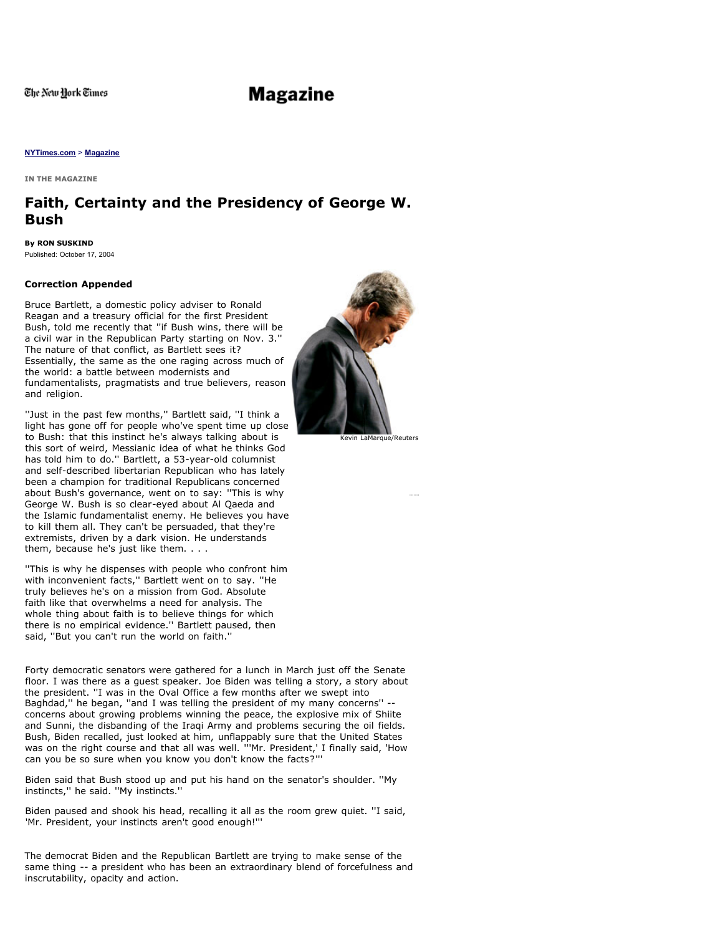# **Magazine**

#### **[NYTimes.com](http://www.nytimes.com/)** > **[Magazine](http://www.nytimes.com/pages/magazine/index.html)**

**IN THE MAGAZINE**

## **Faith, Certainty and the Presidency of George W. Bush**

**By RON SUSKIND** Published: October 17, 2004

### **Correction Appended**

Bruce Bartlett, a domestic policy adviser to Ronald Reagan and a treasury official for the first President Bush, told me recently that ''if Bush wins, there will be a civil war in the Republican Party starting on Nov. 3.'' The nature of that conflict, as Bartlett sees it? Essentially, the same as the one raging across much of the world: a battle between modernists and fundamentalists, pragmatists and true believers, reason and religion.

''Just in the past few months,'' Bartlett said, ''I think a light has gone off for people who've spent time up close to Bush: that this instinct he's always talking about is this sort of weird, Messianic idea of what he thinks God has told him to do.'' Bartlett, a 53-year-old columnist and self-described libertarian Republican who has lately been a champion for traditional Republicans concerned about Bush's governance, went on to say: ''This is why George W. Bush is so clear-eyed about Al Qaeda and the Islamic fundamentalist enemy. He believes you have to kill them all. They can't be persuaded, that they're extremists, driven by a dark vision. He understands them, because he's just like them. . . .

''This is why he dispenses with people who confront him with inconvenient facts,'' Bartlett went on to say. ''He truly believes he's on a mission from God. Absolute faith like that overwhelms a need for analysis. The whole thing about faith is to believe things for which there is no empirical evidence.'' Bartlett paused, then said, ''But you can't run the world on faith.''

Forty democratic senators were gathered for a lunch in March just off the Senate floor. I was there as a guest speaker. Joe Biden was telling a story, a story about the president. ''I was in the Oval Office a few months after we swept into Baghdad," he began, "and I was telling the president of my many concerns" -concerns about growing problems winning the peace, the explosive mix of Shiite and Sunni, the disbanding of the Iraqi Army and problems securing the oil fields. Bush, Biden recalled, just looked at him, unflappably sure that the United States was on the right course and that all was well. '''Mr. President,' I finally said, 'How can you be so sure when you know you don't know the facts?'''

Biden said that Bush stood up and put his hand on the senator's shoulder. ''My instincts,'' he said. ''My instincts.''

Biden paused and shook his head, recalling it all as the room grew quiet. ''I said, 'Mr. President, your instincts aren't good enough!'''

The democrat Biden and the Republican Bartlett are trying to make sense of the same thing -- a president who has been an extraordinary blend of forcefulness and inscrutability, opacity and action.



s<br>Peuters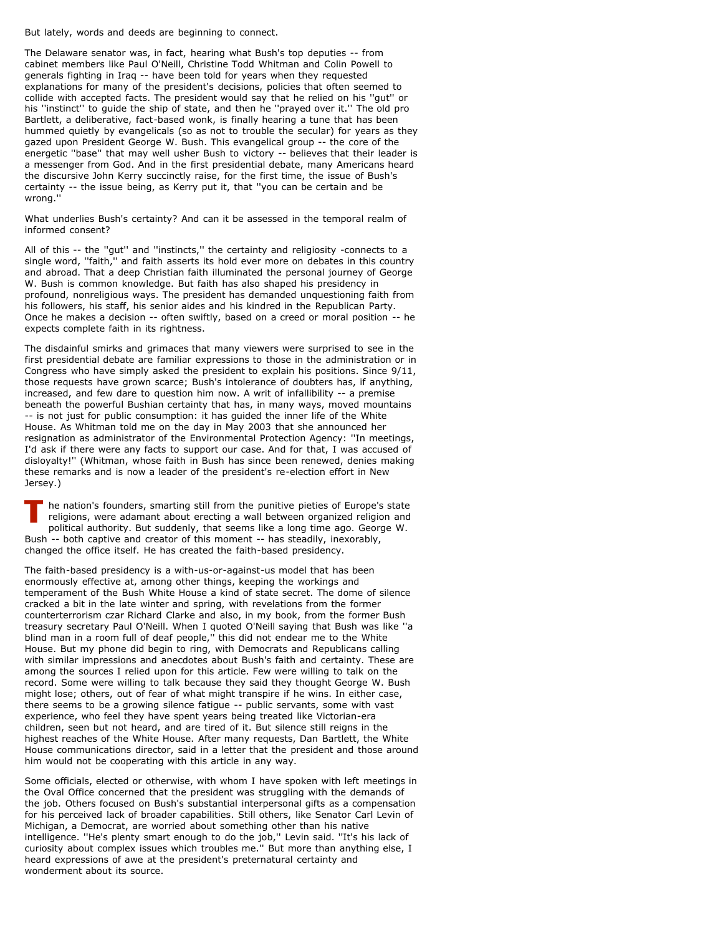But lately, words and deeds are beginning to connect.

The Delaware senator was, in fact, hearing what Bush's top deputies -- from cabinet members like Paul O'Neill, Christine Todd Whitman and Colin Powell to generals fighting in Iraq -- have been told for years when they requested explanations for many of the president's decisions, policies that often seemed to collide with accepted facts. The president would say that he relied on his ''gut'' or his ''instinct'' to guide the ship of state, and then he ''prayed over it.'' The old pro Bartlett, a deliberative, fact-based wonk, is finally hearing a tune that has been hummed quietly by evangelicals (so as not to trouble the secular) for years as they gazed upon President George W. Bush. This evangelical group -- the core of the energetic ''base'' that may well usher Bush to victory -- believes that their leader is a messenger from God. And in the first presidential debate, many Americans heard the discursive John Kerry succinctly raise, for the first time, the issue of Bush's certainty -- the issue being, as Kerry put it, that ''you can be certain and be wrong.''

What underlies Bush's certainty? And can it be assessed in the temporal realm of informed consent?

All of this -- the ''gut'' and ''instincts,'' the certainty and religiosity -connects to a single word, ''faith,'' and faith asserts its hold ever more on debates in this country and abroad. That a deep Christian faith illuminated the personal journey of George W. Bush is common knowledge. But faith has also shaped his presidency in profound, nonreligious ways. The president has demanded unquestioning faith from his followers, his staff, his senior aides and his kindred in the Republican Party. Once he makes a decision -- often swiftly, based on a creed or moral position -- he expects complete faith in its rightness.

The disdainful smirks and grimaces that many viewers were surprised to see in the first presidential debate are familiar expressions to those in the administration or in Congress who have simply asked the president to explain his positions. Since 9/11, those requests have grown scarce; Bush's intolerance of doubters has, if anything, increased, and few dare to question him now. A writ of infallibility -- a premise beneath the powerful Bushian certainty that has, in many ways, moved mountains -- is not just for public consumption: it has guided the inner life of the White House. As Whitman told me on the day in May 2003 that she announced her resignation as administrator of the Environmental Protection Agency: ''In meetings, I'd ask if there were any facts to support our case. And for that, I was accused of disloyalty!'' (Whitman, whose faith in Bush has since been renewed, denies making these remarks and is now a leader of the president's re-election effort in New Jersey.)

he nation's founders, smarting still from the punitive pieties of Europe's state religions, were adamant about erecting a wall between organized religion and political authority. But suddenly, that seems like a long time ago. George W. Bush -- both captive and creator of this moment -- has steadily, inexorably, changed the office itself. He has created the faith-based presidency.

The faith-based presidency is a with-us-or-against-us model that has been enormously effective at, among other things, keeping the workings and temperament of the Bush White House a kind of state secret. The dome of silence cracked a bit in the late winter and spring, with revelations from the former counterterrorism czar Richard Clarke and also, in my book, from the former Bush treasury secretary Paul O'Neill. When I quoted O'Neill saying that Bush was like ''a blind man in a room full of deaf people,'' this did not endear me to the White House. But my phone did begin to ring, with Democrats and Republicans calling with similar impressions and anecdotes about Bush's faith and certainty. These are among the sources I relied upon for this article. Few were willing to talk on the record. Some were willing to talk because they said they thought George W. Bush might lose; others, out of fear of what might transpire if he wins. In either case, there seems to be a growing silence fatigue -- public servants, some with vast experience, who feel they have spent years being treated like Victorian-era children, seen but not heard, and are tired of it. But silence still reigns in the highest reaches of the White House. After many requests, Dan Bartlett, the White House communications director, said in a letter that the president and those around him would not be cooperating with this article in any way.

Some officials, elected or otherwise, with whom I have spoken with left meetings in the Oval Office concerned that the president was struggling with the demands of the job. Others focused on Bush's substantial interpersonal gifts as a compensation for his perceived lack of broader capabilities. Still others, like Senator Carl Levin of Michigan, a Democrat, are worried about something other than his native intelligence. ''He's plenty smart enough to do the job,'' Levin said. ''It's his lack of curiosity about complex issues which troubles me.'' But more than anything else, I heard expressions of awe at the president's preternatural certainty and wonderment about its source.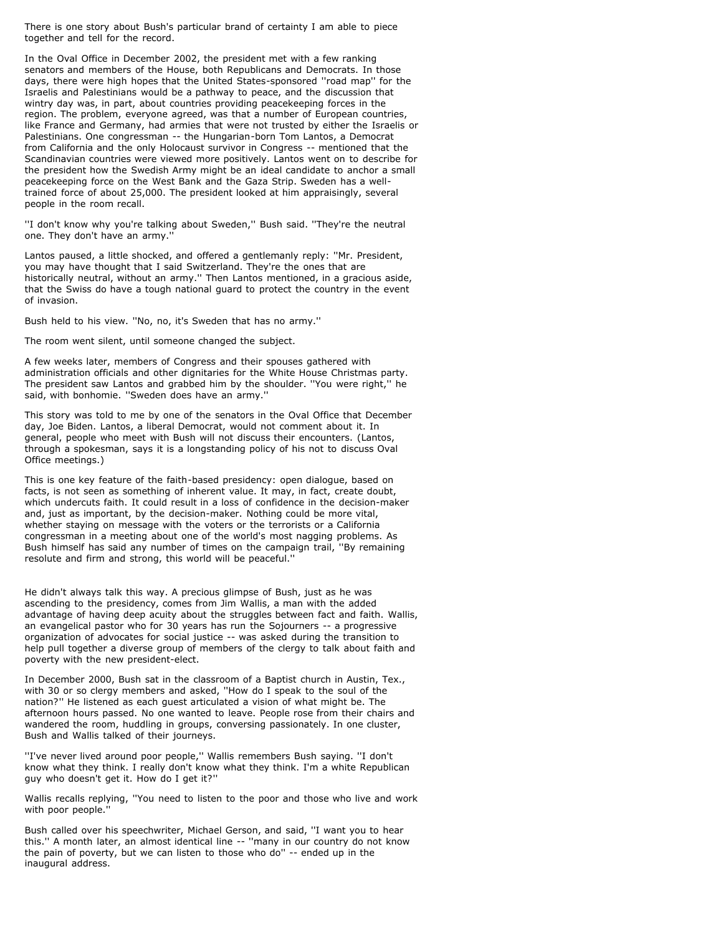There is one story about Bush's particular brand of certainty I am able to piece together and tell for the record.

In the Oval Office in December 2002, the president met with a few ranking senators and members of the House, both Republicans and Democrats. In those days, there were high hopes that the United States-sponsored ''road map'' for the Israelis and Palestinians would be a pathway to peace, and the discussion that wintry day was, in part, about countries providing peacekeeping forces in the region. The problem, everyone agreed, was that a number of European countries, like France and Germany, had armies that were not trusted by either the Israelis or Palestinians. One congressman -- the Hungarian-born Tom Lantos, a Democrat from California and the only Holocaust survivor in Congress -- mentioned that the Scandinavian countries were viewed more positively. Lantos went on to describe for the president how the Swedish Army might be an ideal candidate to anchor a small peacekeeping force on the West Bank and the Gaza Strip. Sweden has a welltrained force of about 25,000. The president looked at him appraisingly, several people in the room recall.

''I don't know why you're talking about Sweden,'' Bush said. ''They're the neutral one. They don't have an army.''

Lantos paused, a little shocked, and offered a gentlemanly reply: ''Mr. President, you may have thought that I said Switzerland. They're the ones that are historically neutral, without an army.'' Then Lantos mentioned, in a gracious aside, that the Swiss do have a tough national guard to protect the country in the event of invasion.

Bush held to his view. ''No, no, it's Sweden that has no army.''

The room went silent, until someone changed the subject.

A few weeks later, members of Congress and their spouses gathered with administration officials and other dignitaries for the White House Christmas party. The president saw Lantos and grabbed him by the shoulder. ''You were right,'' he said, with bonhomie. ''Sweden does have an army.''

This story was told to me by one of the senators in the Oval Office that December day, Joe Biden. Lantos, a liberal Democrat, would not comment about it. In general, people who meet with Bush will not discuss their encounters. (Lantos, through a spokesman, says it is a longstanding policy of his not to discuss Oval Office meetings.)

This is one key feature of the faith-based presidency: open dialogue, based on facts, is not seen as something of inherent value. It may, in fact, create doubt, which undercuts faith. It could result in a loss of confidence in the decision-maker and, just as important, by the decision-maker. Nothing could be more vital, whether staying on message with the voters or the terrorists or a California congressman in a meeting about one of the world's most nagging problems. As Bush himself has said any number of times on the campaign trail, ''By remaining resolute and firm and strong, this world will be peaceful.''

He didn't always talk this way. A precious glimpse of Bush, just as he was ascending to the presidency, comes from Jim Wallis, a man with the added advantage of having deep acuity about the struggles between fact and faith. Wallis, an evangelical pastor who for 30 years has run the Sojourners -- a progressive organization of advocates for social justice -- was asked during the transition to help pull together a diverse group of members of the clergy to talk about faith and poverty with the new president-elect.

In December 2000, Bush sat in the classroom of a Baptist church in Austin, Tex., with 30 or so clergy members and asked, ''How do I speak to the soul of the nation?'' He listened as each guest articulated a vision of what might be. The afternoon hours passed. No one wanted to leave. People rose from their chairs and wandered the room, huddling in groups, conversing passionately. In one cluster, Bush and Wallis talked of their journeys.

''I've never lived around poor people,'' Wallis remembers Bush saying. ''I don't know what they think. I really don't know what they think. I'm a white Republican guy who doesn't get it. How do I get it?''

Wallis recalls replying, ''You need to listen to the poor and those who live and work with poor people.''

Bush called over his speechwriter, Michael Gerson, and said, ''I want you to hear this.'' A month later, an almost identical line -- ''many in our country do not know the pain of poverty, but we can listen to those who do'' -- ended up in the inaugural address.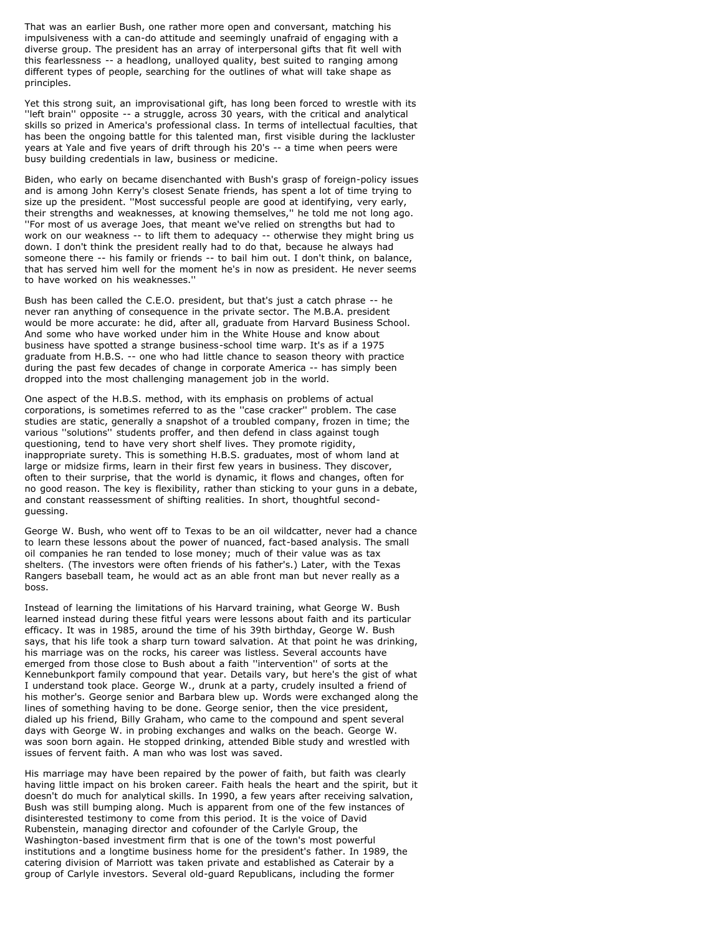That was an earlier Bush, one rather more open and conversant, matching his impulsiveness with a can-do attitude and seemingly unafraid of engaging with a diverse group. The president has an array of interpersonal gifts that fit well with this fearlessness -- a headlong, unalloyed quality, best suited to ranging among different types of people, searching for the outlines of what will take shape as principles.

Yet this strong suit, an improvisational gift, has long been forced to wrestle with its ''left brain'' opposite -- a struggle, across 30 years, with the critical and analytical skills so prized in America's professional class. In terms of intellectual faculties, that has been the ongoing battle for this talented man, first visible during the lackluster years at Yale and five years of drift through his 20's -- a time when peers were busy building credentials in law, business or medicine.

Biden, who early on became disenchanted with Bush's grasp of foreign-policy issues and is among John Kerry's closest Senate friends, has spent a lot of time trying to size up the president. ''Most successful people are good at identifying, very early, their strengths and weaknesses, at knowing themselves,'' he told me not long ago. ''For most of us average Joes, that meant we've relied on strengths but had to work on our weakness -- to lift them to adequacy -- otherwise they might bring us down. I don't think the president really had to do that, because he always had someone there -- his family or friends -- to bail him out. I don't think, on balance, that has served him well for the moment he's in now as president. He never seems to have worked on his weaknesses.''

Bush has been called the C.E.O. president, but that's just a catch phrase -- he never ran anything of consequence in the private sector. The M.B.A. president would be more accurate: he did, after all, graduate from Harvard Business School. And some who have worked under him in the White House and know about business have spotted a strange business-school time warp. It's as if a 1975 graduate from H.B.S. -- one who had little chance to season theory with practice during the past few decades of change in corporate America -- has simply been dropped into the most challenging management job in the world.

One aspect of the H.B.S. method, with its emphasis on problems of actual corporations, is sometimes referred to as the ''case cracker'' problem. The case studies are static, generally a snapshot of a troubled company, frozen in time; the various ''solutions'' students proffer, and then defend in class against tough questioning, tend to have very short shelf lives. They promote rigidity, inappropriate surety. This is something H.B.S. graduates, most of whom land at large or midsize firms, learn in their first few years in business. They discover, often to their surprise, that the world is dynamic, it flows and changes, often for no good reason. The key is flexibility, rather than sticking to your guns in a debate, and constant reassessment of shifting realities. In short, thoughtful secondguessing.

George W. Bush, who went off to Texas to be an oil wildcatter, never had a chance to learn these lessons about the power of nuanced, fact-based analysis. The small oil companies he ran tended to lose money; much of their value was as tax shelters. (The investors were often friends of his father's.) Later, with the Texas Rangers baseball team, he would act as an able front man but never really as a boss.

Instead of learning the limitations of his Harvard training, what George W. Bush learned instead during these fitful years were lessons about faith and its particular efficacy. It was in 1985, around the time of his 39th birthday, George W. Bush says, that his life took a sharp turn toward salvation. At that point he was drinking, his marriage was on the rocks, his career was listless. Several accounts have emerged from those close to Bush about a faith ''intervention'' of sorts at the Kennebunkport family compound that year. Details vary, but here's the gist of what I understand took place. George W., drunk at a party, crudely insulted a friend of his mother's. George senior and Barbara blew up. Words were exchanged along the lines of something having to be done. George senior, then the vice president, dialed up his friend, Billy Graham, who came to the compound and spent several days with George W. in probing exchanges and walks on the beach. George W. was soon born again. He stopped drinking, attended Bible study and wrestled with issues of fervent faith. A man who was lost was saved.

His marriage may have been repaired by the power of faith, but faith was clearly having little impact on his broken career. Faith heals the heart and the spirit, but it doesn't do much for analytical skills. In 1990, a few years after receiving salvation, Bush was still bumping along. Much is apparent from one of the few instances of disinterested testimony to come from this period. It is the voice of David Rubenstein, managing director and cofounder of the Carlyle Group, the Washington-based investment firm that is one of the town's most powerful institutions and a longtime business home for the president's father. In 1989, the catering division of Marriott was taken private and established as Caterair by a group of Carlyle investors. Several old-guard Republicans, including the former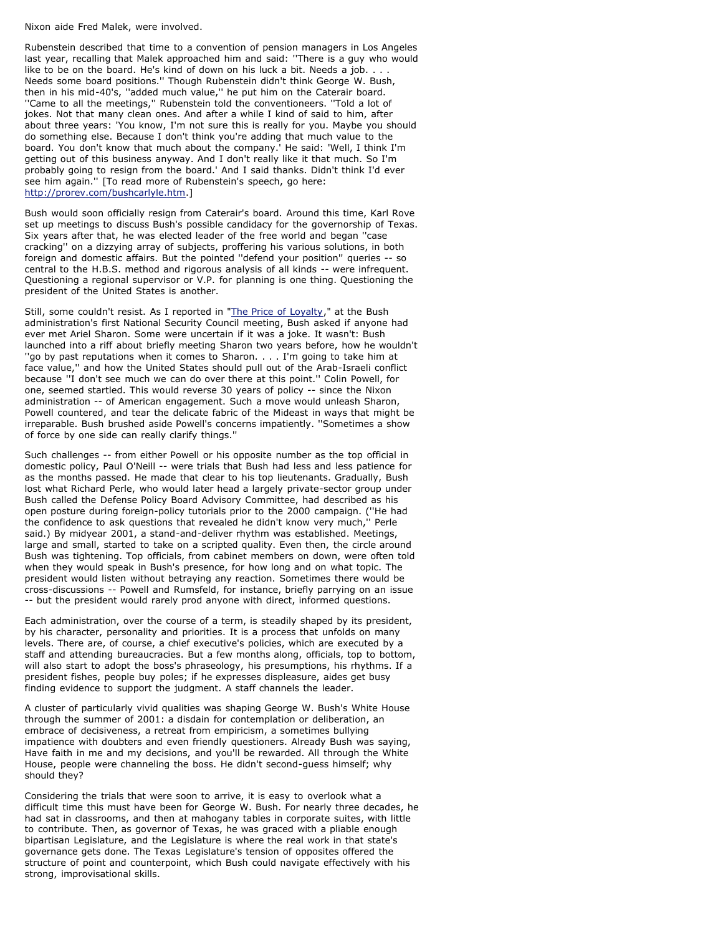Nixon aide Fred Malek, were involved.

Rubenstein described that time to a convention of pension managers in Los Angeles last year, recalling that Malek approached him and said: ''There is a guy who would like to be on the board. He's kind of down on his luck a bit. Needs a job. . . . Needs some board positions.'' Though Rubenstein didn't think George W. Bush, then in his mid-40's, ''added much value,'' he put him on the Caterair board. ''Came to all the meetings,'' Rubenstein told the conventioneers. ''Told a lot of jokes. Not that many clean ones. And after a while I kind of said to him, after about three years: 'You know, I'm not sure this is really for you. Maybe you should do something else. Because I don't think you're adding that much value to the board. You don't know that much about the company.' He said: 'Well, I think I'm getting out of this business anyway. And I don't really like it that much. So I'm probably going to resign from the board.' And I said thanks. Didn't think I'd ever see him again.'' [To read more of Rubenstein's speech, go here: <http://prorev.com/bushcarlyle.htm>.]

Bush would soon officially resign from Caterair's board. Around this time, Karl Rove set up meetings to discuss Bush's possible candidacy for the governorship of Texas. Six years after that, he was elected leader of the free world and began ''case cracking'' on a dizzying array of subjects, proffering his various solutions, in both foreign and domestic affairs. But the pointed ''defend your position'' queries -- so central to the H.B.S. method and rigorous analysis of all kinds -- were infrequent. Questioning a regional supervisor or V.P. for planning is one thing. Questioning the president of the United States is another.

Still, some couldn't resist. As I reported in "[The Price of Loyalty](http://thepriceofloyalty.ronsuskind.com/)," at the Bush administration's first National Security Council meeting, Bush asked if anyone had ever met Ariel Sharon. Some were uncertain if it was a joke. It wasn't: Bush launched into a riff about briefly meeting Sharon two years before, how he wouldn't ''go by past reputations when it comes to Sharon. . . . I'm going to take him at face value,'' and how the United States should pull out of the Arab-Israeli conflict because ''I don't see much we can do over there at this point.'' Colin Powell, for one, seemed startled. This would reverse 30 years of policy -- since the Nixon administration -- of American engagement. Such a move would unleash Sharon, Powell countered, and tear the delicate fabric of the Mideast in ways that might be irreparable. Bush brushed aside Powell's concerns impatiently. ''Sometimes a show of force by one side can really clarify things.''

Such challenges -- from either Powell or his opposite number as the top official in domestic policy, Paul O'Neill -- were trials that Bush had less and less patience for as the months passed. He made that clear to his top lieutenants. Gradually, Bush lost what Richard Perle, who would later head a largely private-sector group under Bush called the Defense Policy Board Advisory Committee, had described as his open posture during foreign-policy tutorials prior to the 2000 campaign. (''He had the confidence to ask questions that revealed he didn't know very much,'' Perle said.) By midyear 2001, a stand-and-deliver rhythm was established. Meetings, large and small, started to take on a scripted quality. Even then, the circle around Bush was tightening. Top officials, from cabinet members on down, were often told when they would speak in Bush's presence, for how long and on what topic. The president would listen without betraying any reaction. Sometimes there would be cross-discussions -- Powell and Rumsfeld, for instance, briefly parrying on an issue -- but the president would rarely prod anyone with direct, informed questions.

Each administration, over the course of a term, is steadily shaped by its president, by his character, personality and priorities. It is a process that unfolds on many levels. There are, of course, a chief executive's policies, which are executed by a staff and attending bureaucracies. But a few months along, officials, top to bottom, will also start to adopt the boss's phraseology, his presumptions, his rhythms. If a president fishes, people buy poles; if he expresses displeasure, aides get busy finding evidence to support the judgment. A staff channels the leader.

A cluster of particularly vivid qualities was shaping George W. Bush's White House through the summer of 2001: a disdain for contemplation or deliberation, an embrace of decisiveness, a retreat from empiricism, a sometimes bullying impatience with doubters and even friendly questioners. Already Bush was saying, Have faith in me and my decisions, and you'll be rewarded. All through the White House, people were channeling the boss. He didn't second-guess himself; why should they?

Considering the trials that were soon to arrive, it is easy to overlook what a difficult time this must have been for George W. Bush. For nearly three decades, he had sat in classrooms, and then at mahogany tables in corporate suites, with little to contribute. Then, as governor of Texas, he was graced with a pliable enough bipartisan Legislature, and the Legislature is where the real work in that state's governance gets done. The Texas Legislature's tension of opposites offered the structure of point and counterpoint, which Bush could navigate effectively with his strong, improvisational skills.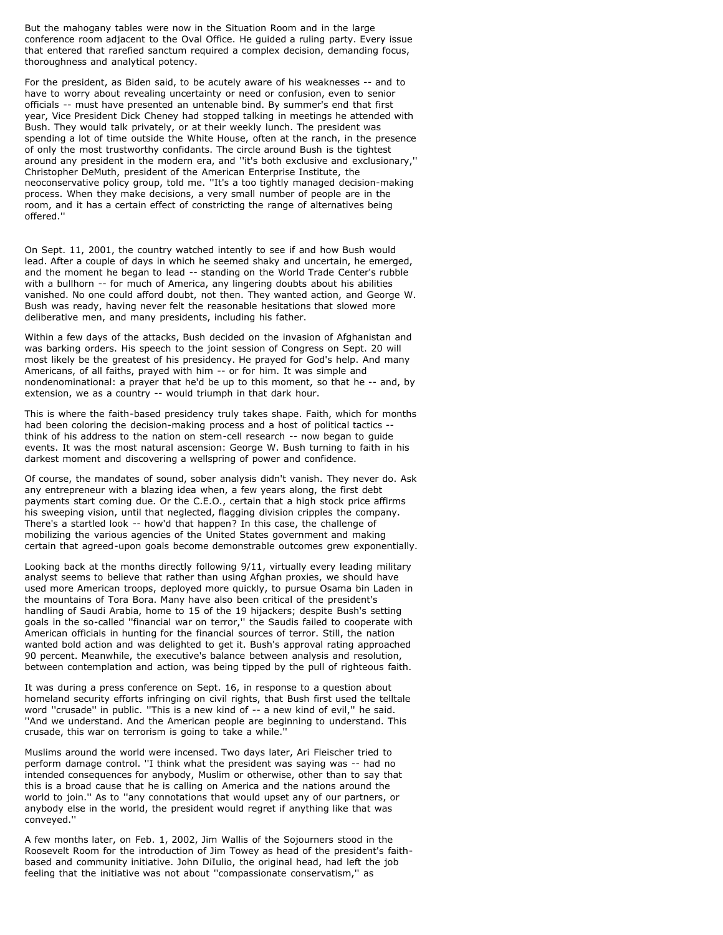But the mahogany tables were now in the Situation Room and in the large conference room adjacent to the Oval Office. He guided a ruling party. Every issue that entered that rarefied sanctum required a complex decision, demanding focus, thoroughness and analytical potency.

For the president, as Biden said, to be acutely aware of his weaknesses -- and to have to worry about revealing uncertainty or need or confusion, even to senior officials -- must have presented an untenable bind. By summer's end that first year, Vice President Dick Cheney had stopped talking in meetings he attended with Bush. They would talk privately, or at their weekly lunch. The president was spending a lot of time outside the White House, often at the ranch, in the presence of only the most trustworthy confidants. The circle around Bush is the tightest around any president in the modern era, and ''it's both exclusive and exclusionary,'' Christopher DeMuth, president of the American Enterprise Institute, the neoconservative policy group, told me. ''It's a too tightly managed decision-making process. When they make decisions, a very small number of people are in the room, and it has a certain effect of constricting the range of alternatives being offered.''

On Sept. 11, 2001, the country watched intently to see if and how Bush would lead. After a couple of days in which he seemed shaky and uncertain, he emerged, and the moment he began to lead -- standing on the World Trade Center's rubble with a bullhorn -- for much of America, any lingering doubts about his abilities vanished. No one could afford doubt, not then. They wanted action, and George W. Bush was ready, having never felt the reasonable hesitations that slowed more deliberative men, and many presidents, including his father.

Within a few days of the attacks, Bush decided on the invasion of Afghanistan and was barking orders. His speech to the joint session of Congress on Sept. 20 will most likely be the greatest of his presidency. He prayed for God's help. And many Americans, of all faiths, prayed with him -- or for him. It was simple and nondenominational: a prayer that he'd be up to this moment, so that he -- and, by extension, we as a country -- would triumph in that dark hour.

This is where the faith-based presidency truly takes shape. Faith, which for months had been coloring the decision-making process and a host of political tactics - think of his address to the nation on stem-cell research -- now began to guide events. It was the most natural ascension: George W. Bush turning to faith in his darkest moment and discovering a wellspring of power and confidence.

Of course, the mandates of sound, sober analysis didn't vanish. They never do. Ask any entrepreneur with a blazing idea when, a few years along, the first debt payments start coming due. Or the C.E.O., certain that a high stock price affirms his sweeping vision, until that neglected, flagging division cripples the company. There's a startled look -- how'd that happen? In this case, the challenge of mobilizing the various agencies of the United States government and making certain that agreed-upon goals become demonstrable outcomes grew exponentially.

Looking back at the months directly following 9/11, virtually every leading military analyst seems to believe that rather than using Afghan proxies, we should have used more American troops, deployed more quickly, to pursue Osama bin Laden in the mountains of Tora Bora. Many have also been critical of the president's handling of Saudi Arabia, home to 15 of the 19 hijackers; despite Bush's setting goals in the so-called ''financial war on terror,'' the Saudis failed to cooperate with American officials in hunting for the financial sources of terror. Still, the nation wanted bold action and was delighted to get it. Bush's approval rating approached 90 percent. Meanwhile, the executive's balance between analysis and resolution, between contemplation and action, was being tipped by the pull of righteous faith.

It was during a press conference on Sept. 16, in response to a question about homeland security efforts infringing on civil rights, that Bush first used the telltale word ''crusade'' in public. ''This is a new kind of -- a new kind of evil,'' he said. ''And we understand. And the American people are beginning to understand. This crusade, this war on terrorism is going to take a while.''

Muslims around the world were incensed. Two days later, Ari Fleischer tried to perform damage control. ''I think what the president was saying was -- had no intended consequences for anybody, Muslim or otherwise, other than to say that this is a broad cause that he is calling on America and the nations around the world to join.'' As to ''any connotations that would upset any of our partners, or anybody else in the world, the president would regret if anything like that was conveyed.''

A few months later, on Feb. 1, 2002, Jim Wallis of the Sojourners stood in the Roosevelt Room for the introduction of Jim Towey as head of the president's faithbased and community initiative. John DiIulio, the original head, had left the job feeling that the initiative was not about ''compassionate conservatism,'' as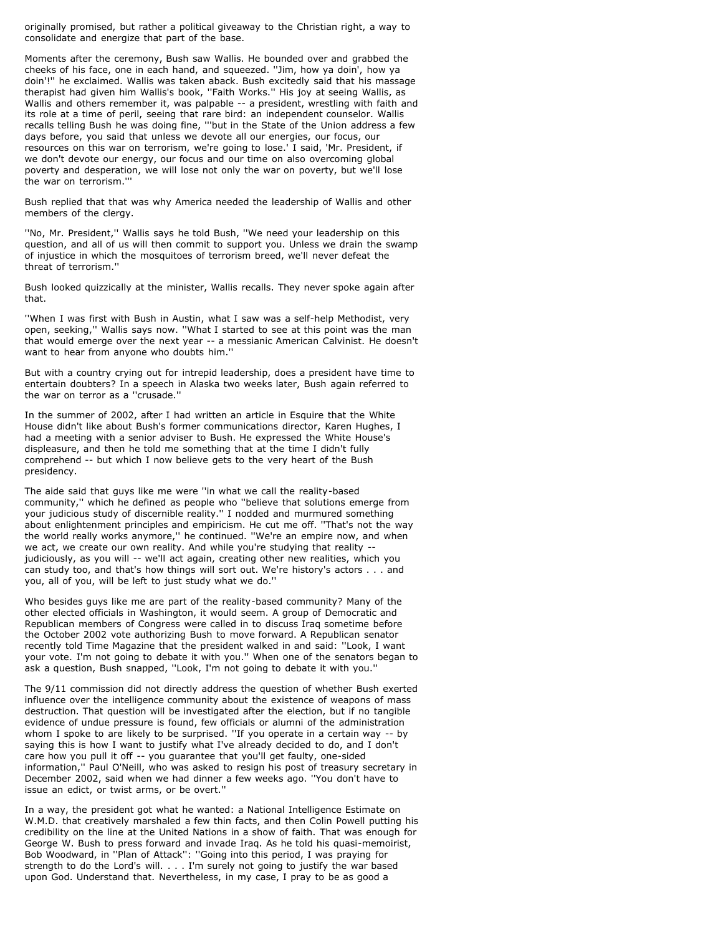originally promised, but rather a political giveaway to the Christian right, a way to consolidate and energize that part of the base.

Moments after the ceremony, Bush saw Wallis. He bounded over and grabbed the cheeks of his face, one in each hand, and squeezed. ''Jim, how ya doin', how ya doin'!'' he exclaimed. Wallis was taken aback. Bush excitedly said that his massage therapist had given him Wallis's book, "Faith Works." His joy at seeing Wallis, as Wallis and others remember it, was palpable -- a president, wrestling with faith and its role at a time of peril, seeing that rare bird: an independent counselor. Wallis recalls telling Bush he was doing fine, '''but in the State of the Union address a few days before, you said that unless we devote all our energies, our focus, our resources on this war on terrorism, we're going to lose.' I said, 'Mr. President, if we don't devote our energy, our focus and our time on also overcoming global poverty and desperation, we will lose not only the war on poverty, but we'll lose the war on terrorism.'''

Bush replied that that was why America needed the leadership of Wallis and other members of the clergy.

''No, Mr. President,'' Wallis says he told Bush, ''We need your leadership on this question, and all of us will then commit to support you. Unless we drain the swamp of injustice in which the mosquitoes of terrorism breed, we'll never defeat the threat of terrorism.''

Bush looked quizzically at the minister, Wallis recalls. They never spoke again after that.

''When I was first with Bush in Austin, what I saw was a self-help Methodist, very open, seeking,'' Wallis says now. ''What I started to see at this point was the man that would emerge over the next year -- a messianic American Calvinist. He doesn't want to hear from anyone who doubts him.''

But with a country crying out for intrepid leadership, does a president have time to entertain doubters? In a speech in Alaska two weeks later, Bush again referred to the war on terror as a ''crusade.''

In the summer of 2002, after I had written an article in Esquire that the White House didn't like about Bush's former communications director, Karen Hughes, I had a meeting with a senior adviser to Bush. He expressed the White House's displeasure, and then he told me something that at the time I didn't fully comprehend -- but which I now believe gets to the very heart of the Bush presidency.

The aide said that guys like me were ''in what we call the reality-based community,'' which he defined as people who ''believe that solutions emerge from your judicious study of discernible reality.'' I nodded and murmured something about enlightenment principles and empiricism. He cut me off. ''That's not the way the world really works anymore," he continued. "We're an empire now, and when we act, we create our own reality. And while you're studying that reality -judiciously, as you will -- we'll act again, creating other new realities, which you can study too, and that's how things will sort out. We're history's actors . . . and you, all of you, will be left to just study what we do.''

Who besides guys like me are part of the reality-based community? Many of the other elected officials in Washington, it would seem. A group of Democratic and Republican members of Congress were called in to discuss Iraq sometime before the October 2002 vote authorizing Bush to move forward. A Republican senator recently told Time Magazine that the president walked in and said: ''Look, I want your vote. I'm not going to debate it with you.'' When one of the senators began to ask a question, Bush snapped, ''Look, I'm not going to debate it with you.''

The 9/11 commission did not directly address the question of whether Bush exerted influence over the intelligence community about the existence of weapons of mass destruction. That question will be investigated after the election, but if no tangible evidence of undue pressure is found, few officials or alumni of the administration whom I spoke to are likely to be surprised. ''If you operate in a certain way -- by saying this is how I want to justify what I've already decided to do, and I don't care how you pull it off -- you guarantee that you'll get faulty, one-sided information,'' Paul O'Neill, who was asked to resign his post of treasury secretary in December 2002, said when we had dinner a few weeks ago. ''You don't have to issue an edict, or twist arms, or be overt.''

In a way, the president got what he wanted: a National Intelligence Estimate on W.M.D. that creatively marshaled a few thin facts, and then Colin Powell putting his credibility on the line at the United Nations in a show of faith. That was enough for George W. Bush to press forward and invade Iraq. As he told his quasi-memoirist, Bob Woodward, in ''Plan of Attack'': ''Going into this period, I was praying for strength to do the Lord's will. . . . I'm surely not going to justify the war based upon God. Understand that. Nevertheless, in my case, I pray to be as good a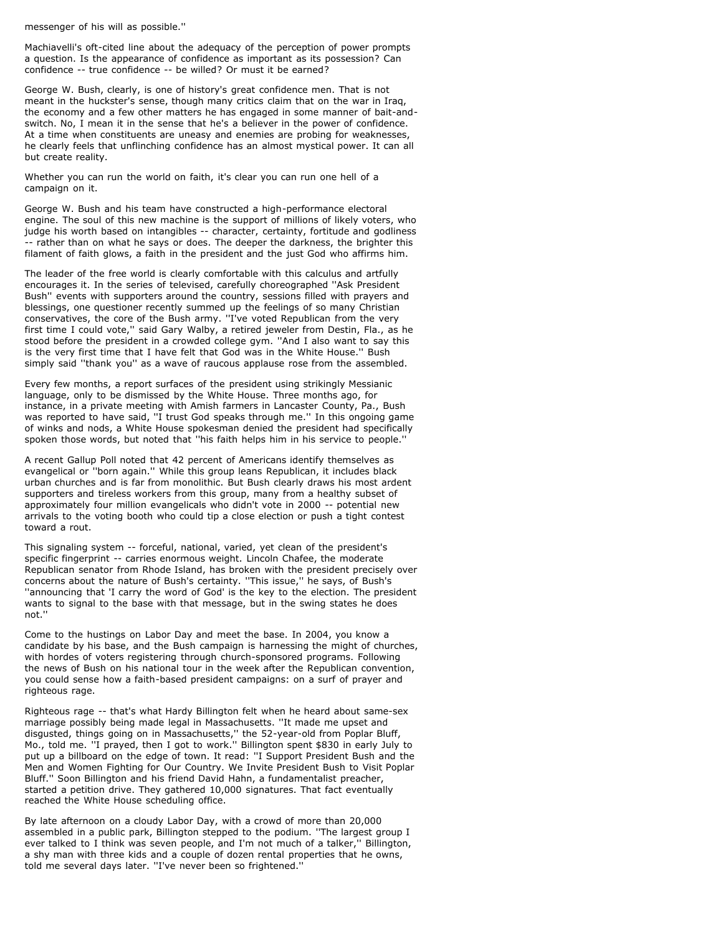messenger of his will as possible.''

Machiavelli's oft-cited line about the adequacy of the perception of power prompts a question. Is the appearance of confidence as important as its possession? Can confidence -- true confidence -- be willed? Or must it be earned?

George W. Bush, clearly, is one of history's great confidence men. That is not meant in the huckster's sense, though many critics claim that on the war in Iraq, the economy and a few other matters he has engaged in some manner of bait-andswitch. No, I mean it in the sense that he's a believer in the power of confidence. At a time when constituents are uneasy and enemies are probing for weaknesses, he clearly feels that unflinching confidence has an almost mystical power. It can all but create reality.

Whether you can run the world on faith, it's clear you can run one hell of a campaign on it.

George W. Bush and his team have constructed a high-performance electoral engine. The soul of this new machine is the support of millions of likely voters, who judge his worth based on intangibles -- character, certainty, fortitude and godliness -- rather than on what he says or does. The deeper the darkness, the brighter this filament of faith glows, a faith in the president and the just God who affirms him.

The leader of the free world is clearly comfortable with this calculus and artfully encourages it. In the series of televised, carefully choreographed ''Ask President Bush'' events with supporters around the country, sessions filled with prayers and blessings, one questioner recently summed up the feelings of so many Christian conservatives, the core of the Bush army. ''I've voted Republican from the very first time I could vote,'' said Gary Walby, a retired jeweler from Destin, Fla., as he stood before the president in a crowded college gym. ''And I also want to say this is the very first time that I have felt that God was in the White House.'' Bush simply said ''thank you'' as a wave of raucous applause rose from the assembled.

Every few months, a report surfaces of the president using strikingly Messianic language, only to be dismissed by the White House. Three months ago, for instance, in a private meeting with Amish farmers in Lancaster County, Pa., Bush was reported to have said, ''I trust God speaks through me.'' In this ongoing game of winks and nods, a White House spokesman denied the president had specifically spoken those words, but noted that ''his faith helps him in his service to people.''

A recent Gallup Poll noted that 42 percent of Americans identify themselves as evangelical or ''born again.'' While this group leans Republican, it includes black urban churches and is far from monolithic. But Bush clearly draws his most ardent supporters and tireless workers from this group, many from a healthy subset of approximately four million evangelicals who didn't vote in 2000 -- potential new arrivals to the voting booth who could tip a close election or push a tight contest toward a rout.

This signaling system -- forceful, national, varied, yet clean of the president's specific fingerprint -- carries enormous weight. Lincoln Chafee, the moderate Republican senator from Rhode Island, has broken with the president precisely over concerns about the nature of Bush's certainty. ''This issue,'' he says, of Bush's ''announcing that 'I carry the word of God' is the key to the election. The president wants to signal to the base with that message, but in the swing states he does not.''

Come to the hustings on Labor Day and meet the base. In 2004, you know a candidate by his base, and the Bush campaign is harnessing the might of churches, with hordes of voters registering through church-sponsored programs. Following the news of Bush on his national tour in the week after the Republican convention, you could sense how a faith-based president campaigns: on a surf of prayer and righteous rage.

Righteous rage -- that's what Hardy Billington felt when he heard about same-sex marriage possibly being made legal in Massachusetts. ''It made me upset and disgusted, things going on in Massachusetts,'' the 52-year-old from Poplar Bluff, Mo., told me. ''I prayed, then I got to work.'' Billington spent \$830 in early July to put up a billboard on the edge of town. It read: ''I Support President Bush and the Men and Women Fighting for Our Country. We Invite President Bush to Visit Poplar Bluff.'' Soon Billington and his friend David Hahn, a fundamentalist preacher, started a petition drive. They gathered 10,000 signatures. That fact eventually reached the White House scheduling office.

By late afternoon on a cloudy Labor Day, with a crowd of more than 20,000 assembled in a public park, Billington stepped to the podium. ''The largest group I ever talked to I think was seven people, and I'm not much of a talker,'' Billington, a shy man with three kids and a couple of dozen rental properties that he owns, told me several days later. ''I've never been so frightened.''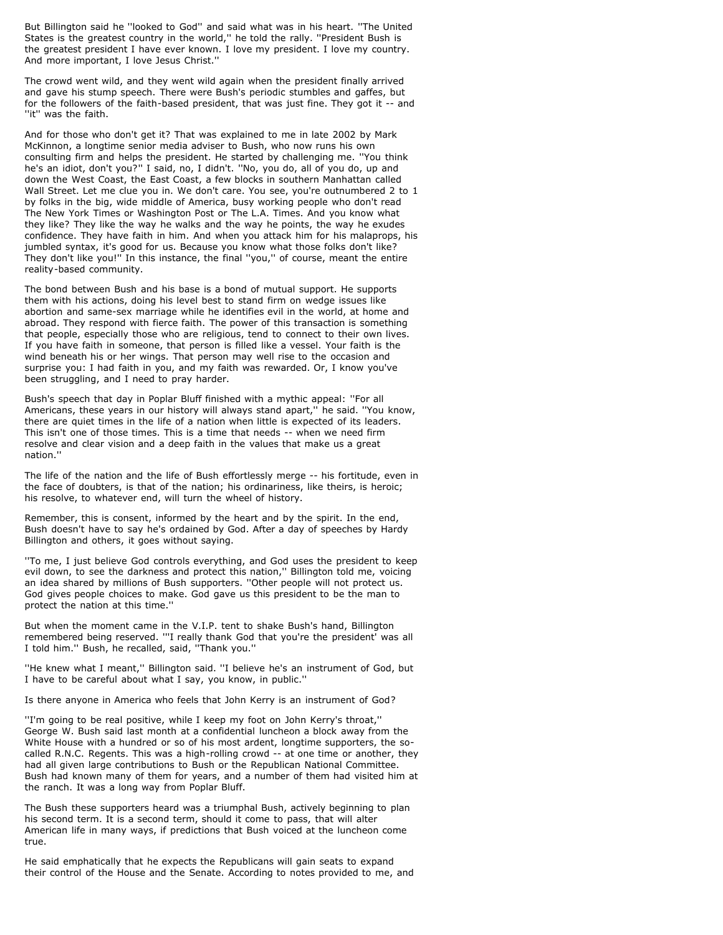But Billington said he ''looked to God'' and said what was in his heart. ''The United States is the greatest country in the world,'' he told the rally. ''President Bush is the greatest president I have ever known. I love my president. I love my country. And more important, I love Jesus Christ.''

The crowd went wild, and they went wild again when the president finally arrived and gave his stump speech. There were Bush's periodic stumbles and gaffes, but for the followers of the faith-based president, that was just fine. They got it -- and ''it'' was the faith.

And for those who don't get it? That was explained to me in late 2002 by Mark McKinnon, a longtime senior media adviser to Bush, who now runs his own consulting firm and helps the president. He started by challenging me. ''You think he's an idiot, don't you?'' I said, no, I didn't. ''No, you do, all of you do, up and down the West Coast, the East Coast, a few blocks in southern Manhattan called Wall Street. Let me clue you in. We don't care. You see, you're outnumbered 2 to 1 by folks in the big, wide middle of America, busy working people who don't read The New York Times or Washington Post or The L.A. Times. And you know what they like? They like the way he walks and the way he points, the way he exudes confidence. They have faith in him. And when you attack him for his malaprops, his jumbled syntax, it's good for us. Because you know what those folks don't like? They don't like you!'' In this instance, the final ''you,'' of course, meant the entire reality-based community.

The bond between Bush and his base is a bond of mutual support. He supports them with his actions, doing his level best to stand firm on wedge issues like abortion and same-sex marriage while he identifies evil in the world, at home and abroad. They respond with fierce faith. The power of this transaction is something that people, especially those who are religious, tend to connect to their own lives. If you have faith in someone, that person is filled like a vessel. Your faith is the wind beneath his or her wings. That person may well rise to the occasion and surprise you: I had faith in you, and my faith was rewarded. Or, I know you've been struggling, and I need to pray harder.

Bush's speech that day in Poplar Bluff finished with a mythic appeal: ''For all Americans, these years in our history will always stand apart,'' he said. ''You know, there are quiet times in the life of a nation when little is expected of its leaders. This isn't one of those times. This is a time that needs -- when we need firm resolve and clear vision and a deep faith in the values that make us a great nation.''

The life of the nation and the life of Bush effortlessly merge -- his fortitude, even in the face of doubters, is that of the nation; his ordinariness, like theirs, is heroic; his resolve, to whatever end, will turn the wheel of history.

Remember, this is consent, informed by the heart and by the spirit. In the end, Bush doesn't have to say he's ordained by God. After a day of speeches by Hardy Billington and others, it goes without saying.

''To me, I just believe God controls everything, and God uses the president to keep evil down, to see the darkness and protect this nation,'' Billington told me, voicing an idea shared by millions of Bush supporters. ''Other people will not protect us. God gives people choices to make. God gave us this president to be the man to protect the nation at this time.''

But when the moment came in the V.I.P. tent to shake Bush's hand, Billington remembered being reserved. '''I really thank God that you're the president' was all I told him.'' Bush, he recalled, said, ''Thank you.''

''He knew what I meant,'' Billington said. ''I believe he's an instrument of God, but I have to be careful about what I say, you know, in public.''

Is there anyone in America who feels that John Kerry is an instrument of God?

''I'm going to be real positive, while I keep my foot on John Kerry's throat,'' George W. Bush said last month at a confidential luncheon a block away from the White House with a hundred or so of his most ardent, longtime supporters, the socalled R.N.C. Regents. This was a high-rolling crowd -- at one time or another, they had all given large contributions to Bush or the Republican National Committee. Bush had known many of them for years, and a number of them had visited him at the ranch. It was a long way from Poplar Bluff.

The Bush these supporters heard was a triumphal Bush, actively beginning to plan his second term. It is a second term, should it come to pass, that will alter American life in many ways, if predictions that Bush voiced at the luncheon come true.

He said emphatically that he expects the Republicans will gain seats to expand their control of the House and the Senate. According to notes provided to me, and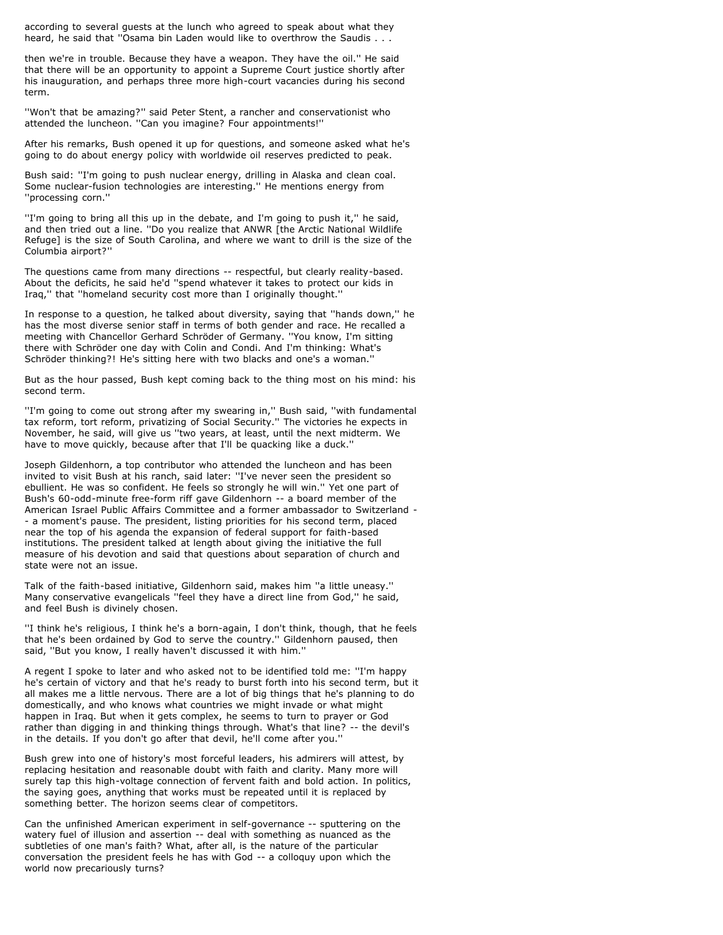according to several guests at the lunch who agreed to speak about what they heard, he said that "Osama bin Laden would like to overthrow the Saudis . . .

then we're in trouble. Because they have a weapon. They have the oil.'' He said that there will be an opportunity to appoint a Supreme Court justice shortly after his inauguration, and perhaps three more high-court vacancies during his second term.

''Won't that be amazing?'' said Peter Stent, a rancher and conservationist who attended the luncheon. ''Can you imagine? Four appointments!''

After his remarks, Bush opened it up for questions, and someone asked what he's going to do about energy policy with worldwide oil reserves predicted to peak.

Bush said: ''I'm going to push nuclear energy, drilling in Alaska and clean coal. Some nuclear-fusion technologies are interesting.'' He mentions energy from ''processing corn.''

''I'm going to bring all this up in the debate, and I'm going to push it,'' he said, and then tried out a line. ''Do you realize that ANWR [the Arctic National Wildlife Refuge] is the size of South Carolina, and where we want to drill is the size of the Columbia airport?''

The questions came from many directions -- respectful, but clearly reality-based. About the deficits, he said he'd ''spend whatever it takes to protect our kids in Iraq,'' that ''homeland security cost more than I originally thought.''

In response to a question, he talked about diversity, saying that ''hands down,'' he has the most diverse senior staff in terms of both gender and race. He recalled a meeting with Chancellor Gerhard Schröder of Germany. ''You know, I'm sitting there with Schröder one day with Colin and Condi. And I'm thinking: What's Schröder thinking?! He's sitting here with two blacks and one's a woman.''

But as the hour passed, Bush kept coming back to the thing most on his mind: his second term.

''I'm going to come out strong after my swearing in,'' Bush said, ''with fundamental tax reform, tort reform, privatizing of Social Security.'' The victories he expects in November, he said, will give us ''two years, at least, until the next midterm. We have to move quickly, because after that I'll be quacking like a duck.''

Joseph Gildenhorn, a top contributor who attended the luncheon and has been invited to visit Bush at his ranch, said later: ''I've never seen the president so ebullient. He was so confident. He feels so strongly he will win.'' Yet one part of Bush's 60-odd-minute free-form riff gave Gildenhorn -- a board member of the American Israel Public Affairs Committee and a former ambassador to Switzerland - - a moment's pause. The president, listing priorities for his second term, placed near the top of his agenda the expansion of federal support for faith-based institutions. The president talked at length about giving the initiative the full measure of his devotion and said that questions about separation of church and state were not an issue.

Talk of the faith-based initiative, Gildenhorn said, makes him ''a little uneasy.'' Many conservative evangelicals ''feel they have a direct line from God,'' he said, and feel Bush is divinely chosen.

''I think he's religious, I think he's a born-again, I don't think, though, that he feels that he's been ordained by God to serve the country.'' Gildenhorn paused, then said, ''But you know, I really haven't discussed it with him.''

A regent I spoke to later and who asked not to be identified told me: ''I'm happy he's certain of victory and that he's ready to burst forth into his second term, but it all makes me a little nervous. There are a lot of big things that he's planning to do domestically, and who knows what countries we might invade or what might happen in Iraq. But when it gets complex, he seems to turn to prayer or God rather than digging in and thinking things through. What's that line? -- the devil's in the details. If you don't go after that devil, he'll come after you.''

Bush grew into one of history's most forceful leaders, his admirers will attest, by replacing hesitation and reasonable doubt with faith and clarity. Many more will surely tap this high-voltage connection of fervent faith and bold action. In politics, the saying goes, anything that works must be repeated until it is replaced by something better. The horizon seems clear of competitors.

Can the unfinished American experiment in self-governance -- sputtering on the watery fuel of illusion and assertion -- deal with something as nuanced as the subtleties of one man's faith? What, after all, is the nature of the particular conversation the president feels he has with God -- a colloquy upon which the world now precariously turns?